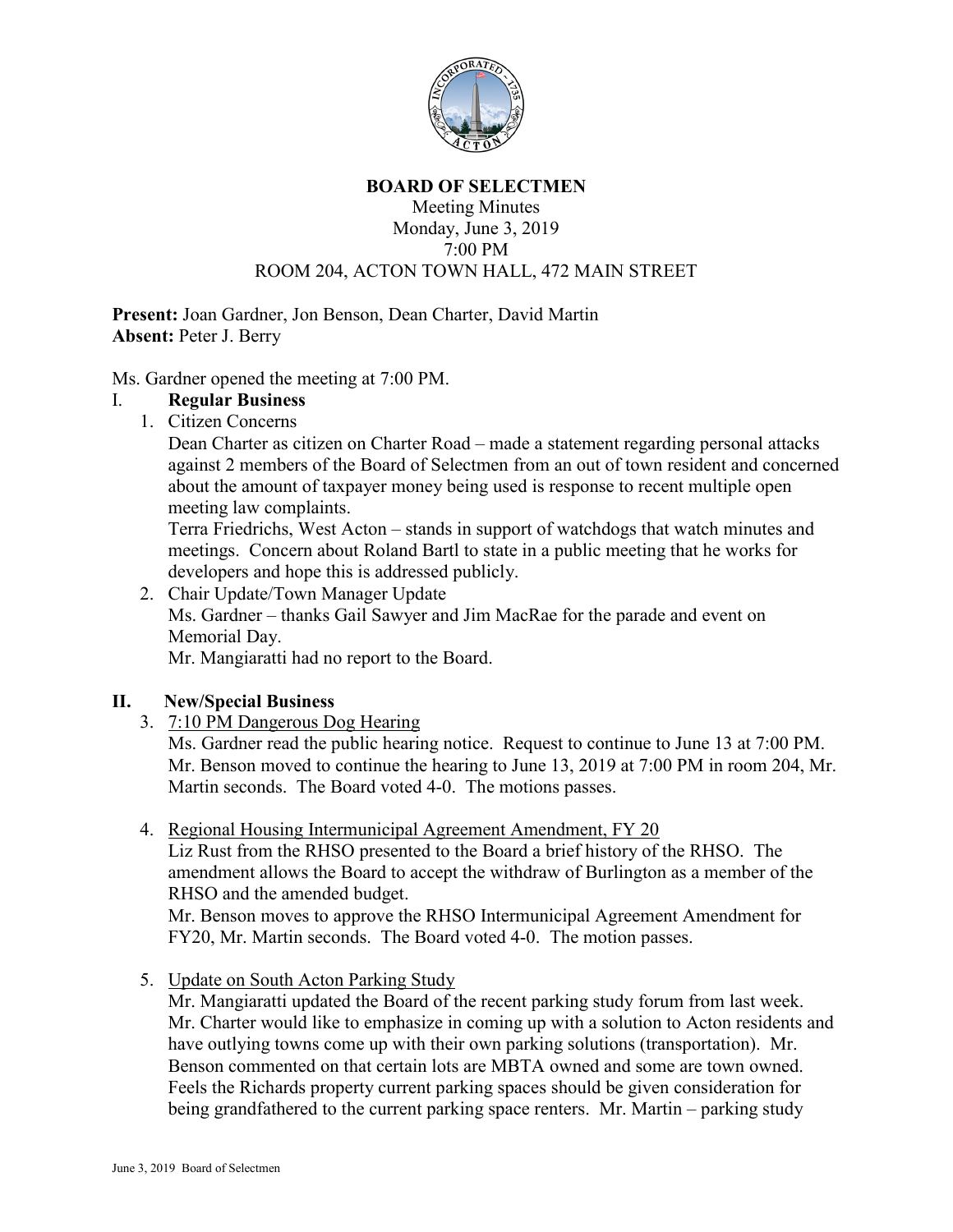

#### **BOARD OF SELECTMEN**

#### Meeting Minutes Monday, June 3, 2019 7:00 PM ROOM 204, ACTON TOWN HALL, 472 MAIN STREET

**Present:** Joan Gardner, Jon Benson, Dean Charter, David Martin **Absent:** Peter J. Berry

Ms. Gardner opened the meeting at 7:00 PM.

#### I. **Regular Business**

1. Citizen Concerns

Dean Charter as citizen on Charter Road – made a statement regarding personal attacks against 2 members of the Board of Selectmen from an out of town resident and concerned about the amount of taxpayer money being used is response to recent multiple open meeting law complaints.

Terra Friedrichs, West Acton – stands in support of watchdogs that watch minutes and meetings. Concern about Roland Bartl to state in a public meeting that he works for developers and hope this is addressed publicly.

2. Chair Update/Town Manager Update Ms. Gardner – thanks Gail Sawyer and Jim MacRae for the parade and event on Memorial Day.

Mr. Mangiaratti had no report to the Board.

# **II. New/Special Business**

3. 7:10 PM Dangerous Dog Hearing

Ms. Gardner read the public hearing notice. Request to continue to June 13 at 7:00 PM. Mr. Benson moved to continue the hearing to June 13, 2019 at 7:00 PM in room 204, Mr. Martin seconds. The Board voted 4-0. The motions passes.

4. Regional Housing Intermunicipal Agreement Amendment, FY 20

Liz Rust from the RHSO presented to the Board a brief history of the RHSO. The amendment allows the Board to accept the withdraw of Burlington as a member of the RHSO and the amended budget.

Mr. Benson moves to approve the RHSO Intermunicipal Agreement Amendment for FY20, Mr. Martin seconds. The Board voted 4-0. The motion passes.

5. Update on South Acton Parking Study

Mr. Mangiaratti updated the Board of the recent parking study forum from last week. Mr. Charter would like to emphasize in coming up with a solution to Acton residents and have outlying towns come up with their own parking solutions (transportation). Mr. Benson commented on that certain lots are MBTA owned and some are town owned. Feels the Richards property current parking spaces should be given consideration for being grandfathered to the current parking space renters. Mr. Martin – parking study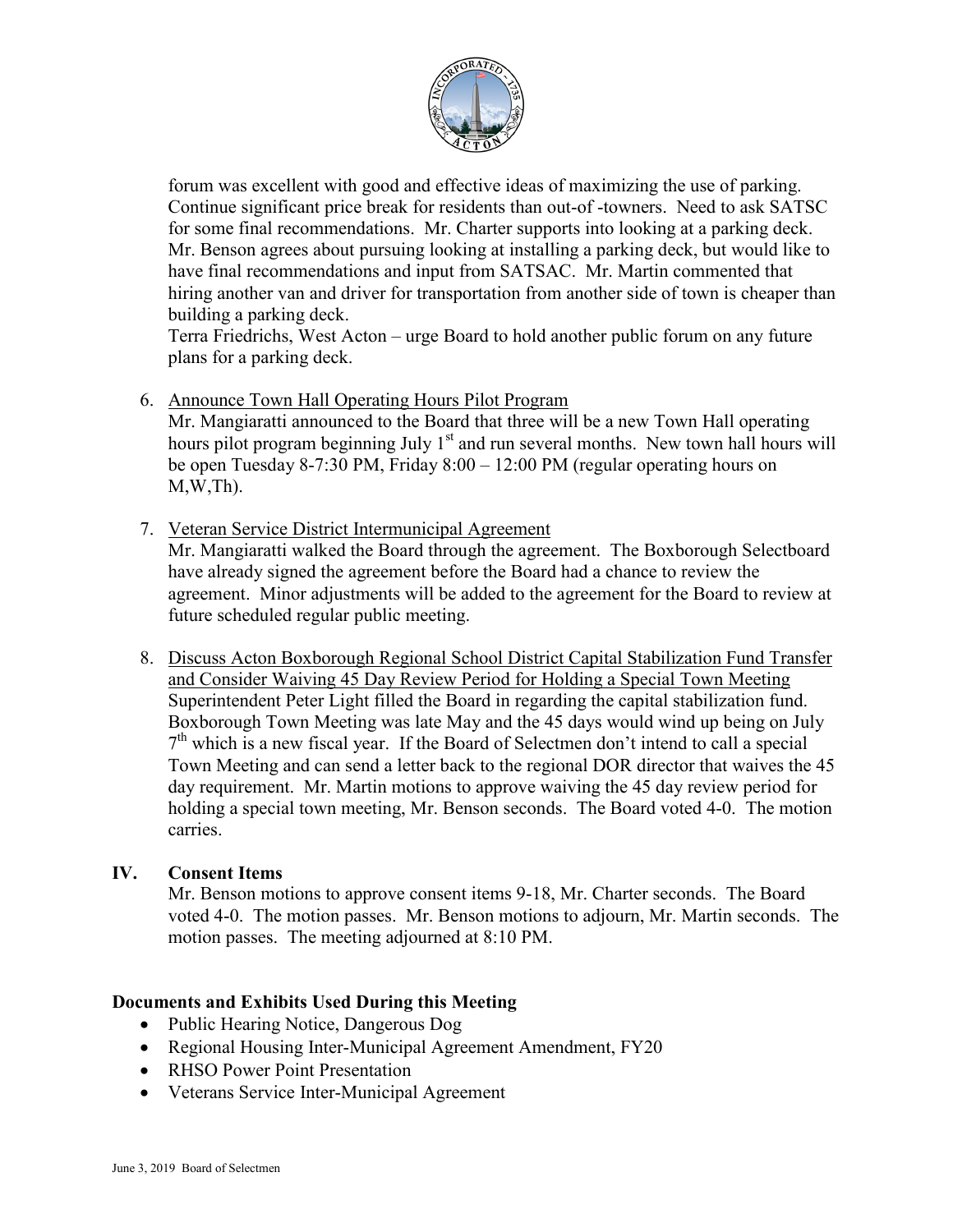

forum was excellent with good and effective ideas of maximizing the use of parking. Continue significant price break for residents than out-of -towners. Need to ask SATSC for some final recommendations. Mr. Charter supports into looking at a parking deck. Mr. Benson agrees about pursuing looking at installing a parking deck, but would like to have final recommendations and input from SATSAC. Mr. Martin commented that hiring another van and driver for transportation from another side of town is cheaper than building a parking deck.

Terra Friedrichs, West Acton – urge Board to hold another public forum on any future plans for a parking deck.

6. Announce Town Hall Operating Hours Pilot Program

Mr. Mangiaratti announced to the Board that three will be a new Town Hall operating hours pilot program beginning July 1<sup>st</sup> and run several months. New town hall hours will be open Tuesday 8-7:30 PM, Friday 8:00 – 12:00 PM (regular operating hours on  $M, W, Th$ ).

- 7. Veteran Service District Intermunicipal Agreement Mr. Mangiaratti walked the Board through the agreement. The Boxborough Selectboard have already signed the agreement before the Board had a chance to review the agreement. Minor adjustments will be added to the agreement for the Board to review at future scheduled regular public meeting.
- 8. Discuss Acton Boxborough Regional School District Capital Stabilization Fund Transfer and Consider Waiving 45 Day Review Period for Holding a Special Town Meeting Superintendent Peter Light filled the Board in regarding the capital stabilization fund. Boxborough Town Meeting was late May and the 45 days would wind up being on July  $7<sup>th</sup>$  which is a new fiscal year. If the Board of Selectmen don't intend to call a special Town Meeting and can send a letter back to the regional DOR director that waives the 45 day requirement. Mr. Martin motions to approve waiving the 45 day review period for holding a special town meeting, Mr. Benson seconds. The Board voted 4-0. The motion carries.

# **IV. Consent Items**

Mr. Benson motions to approve consent items 9-18, Mr. Charter seconds. The Board voted 4-0. The motion passes. Mr. Benson motions to adjourn, Mr. Martin seconds. The motion passes. The meeting adjourned at 8:10 PM.

# **Documents and Exhibits Used During this Meeting**

- Public Hearing Notice, Dangerous Dog
- Regional Housing Inter-Municipal Agreement Amendment, FY20
- RHSO Power Point Presentation
- Veterans Service Inter-Municipal Agreement